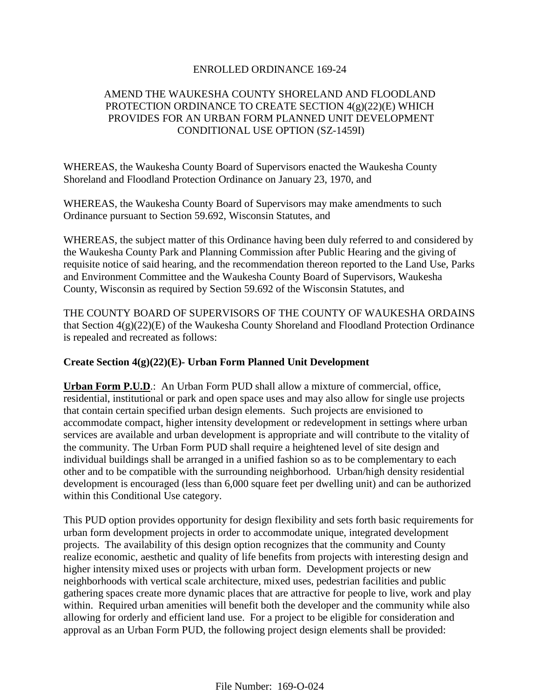# ENROLLED ORDINANCE 169-24

# AMEND THE WAUKESHA COUNTY SHORELAND AND FLOODLAND PROTECTION ORDINANCE TO CREATE SECTION 4(g)(22)(E) WHICH PROVIDES FOR AN URBAN FORM PLANNED UNIT DEVELOPMENT CONDITIONAL USE OPTION (SZ-1459I)

WHEREAS, the Waukesha County Board of Supervisors enacted the Waukesha County Shoreland and Floodland Protection Ordinance on January 23, 1970, and

WHEREAS, the Waukesha County Board of Supervisors may make amendments to such Ordinance pursuant to Section 59.692, Wisconsin Statutes, and

WHEREAS, the subject matter of this Ordinance having been duly referred to and considered by the Waukesha County Park and Planning Commission after Public Hearing and the giving of requisite notice of said hearing, and the recommendation thereon reported to the Land Use, Parks and Environment Committee and the Waukesha County Board of Supervisors, Waukesha County, Wisconsin as required by Section 59.692 of the Wisconsin Statutes, and

THE COUNTY BOARD OF SUPERVISORS OF THE COUNTY OF WAUKESHA ORDAINS that Section 4(g)(22)(E) of the Waukesha County Shoreland and Floodland Protection Ordinance is repealed and recreated as follows:

# **Create Section 4(g)(22)(E)- Urban Form Planned Unit Development**

**Urban Form P.U.D**.: An Urban Form PUD shall allow a mixture of commercial, office, residential, institutional or park and open space uses and may also allow for single use projects that contain certain specified urban design elements. Such projects are envisioned to accommodate compact, higher intensity development or redevelopment in settings where urban services are available and urban development is appropriate and will contribute to the vitality of the community. The Urban Form PUD shall require a heightened level of site design and individual buildings shall be arranged in a unified fashion so as to be complementary to each other and to be compatible with the surrounding neighborhood. Urban/high density residential development is encouraged (less than 6,000 square feet per dwelling unit) and can be authorized within this Conditional Use category.

This PUD option provides opportunity for design flexibility and sets forth basic requirements for urban form development projects in order to accommodate unique, integrated development projects. The availability of this design option recognizes that the community and County realize economic, aesthetic and quality of life benefits from projects with interesting design and higher intensity mixed uses or projects with urban form. Development projects or new neighborhoods with vertical scale architecture, mixed uses, pedestrian facilities and public gathering spaces create more dynamic places that are attractive for people to live, work and play within. Required urban amenities will benefit both the developer and the community while also allowing for orderly and efficient land use. For a project to be eligible for consideration and approval as an Urban Form PUD, the following project design elements shall be provided: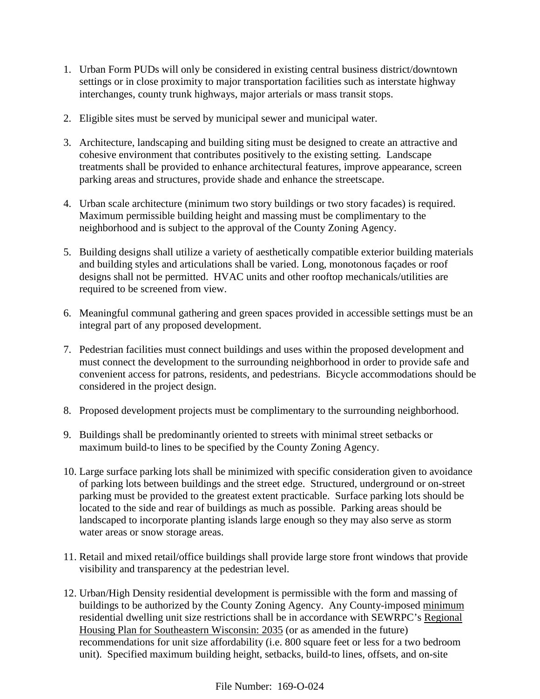- 1. Urban Form PUDs will only be considered in existing central business district/downtown settings or in close proximity to major transportation facilities such as interstate highway interchanges, county trunk highways, major arterials or mass transit stops.
- 2. Eligible sites must be served by municipal sewer and municipal water.
- 3. Architecture, landscaping and building siting must be designed to create an attractive and cohesive environment that contributes positively to the existing setting. Landscape treatments shall be provided to enhance architectural features, improve appearance, screen parking areas and structures, provide shade and enhance the streetscape.
- 4. Urban scale architecture (minimum two story buildings or two story facades) is required. Maximum permissible building height and massing must be complimentary to the neighborhood and is subject to the approval of the County Zoning Agency.
- 5. Building designs shall utilize a variety of aesthetically compatible exterior building materials and building styles and articulations shall be varied. Long, monotonous façades or roof designs shall not be permitted. HVAC units and other rooftop mechanicals/utilities are required to be screened from view.
- 6. Meaningful communal gathering and green spaces provided in accessible settings must be an integral part of any proposed development.
- 7. Pedestrian facilities must connect buildings and uses within the proposed development and must connect the development to the surrounding neighborhood in order to provide safe and convenient access for patrons, residents, and pedestrians. Bicycle accommodations should be considered in the project design.
- 8. Proposed development projects must be complimentary to the surrounding neighborhood.
- 9. Buildings shall be predominantly oriented to streets with minimal street setbacks or maximum build-to lines to be specified by the County Zoning Agency.
- 10. Large surface parking lots shall be minimized with specific consideration given to avoidance of parking lots between buildings and the street edge. Structured, underground or on-street parking must be provided to the greatest extent practicable. Surface parking lots should be located to the side and rear of buildings as much as possible. Parking areas should be landscaped to incorporate planting islands large enough so they may also serve as storm water areas or snow storage areas.
- 11. Retail and mixed retail/office buildings shall provide large store front windows that provide visibility and transparency at the pedestrian level.
- 12. Urban/High Density residential development is permissible with the form and massing of buildings to be authorized by the County Zoning Agency. Any County-imposed minimum residential dwelling unit size restrictions shall be in accordance with SEWRPC's Regional Housing Plan for Southeastern Wisconsin: 2035 (or as amended in the future) recommendations for unit size affordability (i.e. 800 square feet or less for a two bedroom unit). Specified maximum building height, setbacks, build-to lines, offsets, and on-site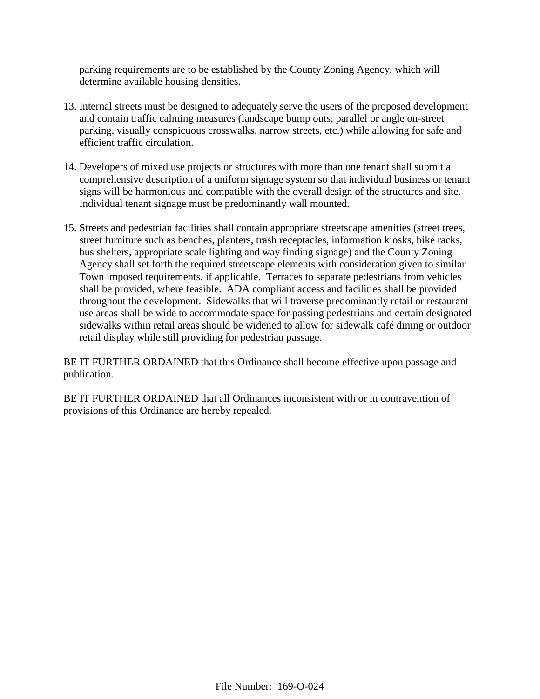parking requirements are to be established by the County Zoning Agency, which will determine available housing densities.

- 13. Internal streets must be designed to adequately serve the users of the proposed development and contain traffic calming measures (landscape bump outs, parallel or angle on-street parking, visually conspicuous crosswalks, narrow streets, etc.) while allowing for safe and efficient traffic circulation.
- 14. Developers of mixed use projects or structures with more than one tenant shall submit a comprehensive description of a uniform signage system so that individual business or tenant signs will be harmonious and compatible with the overall design of the structures and site. Individual tenant signage must be predominantly wall mounted.
- 15. Streets and pedestrian facilities shall contain appropriate streetscape amenities (street trees, street furniture such as benches, planters, trash receptacles, information kiosks, bike racks, bus shelters, appropriate scale lighting and way finding signage) and the County Zoning Agency shall set forth the required streetscape elements with consideration given to similar Town imposed requirements, if applicable. Terraces to separate pedestrians from vehicles shall be provided, where feasible. ADA compliant access and facilities shall be provided throughout the development. Sidewalks that will traverse predominantly retail or restaurant use areas shall be wide to accommodate space for passing pedestrians and certain designated sidewalks within retail areas should be widened to allow for sidewalk café dining or outdoor retail display while still providing for pedestrian passage.

BE IT FURTHER ORDAINED that this Ordinance shall become effective upon passage and publication.

BE IT FURTHER ORDAINED that all Ordinances inconsistent with or in contravention of provisions of this Ordinance are hereby repealed.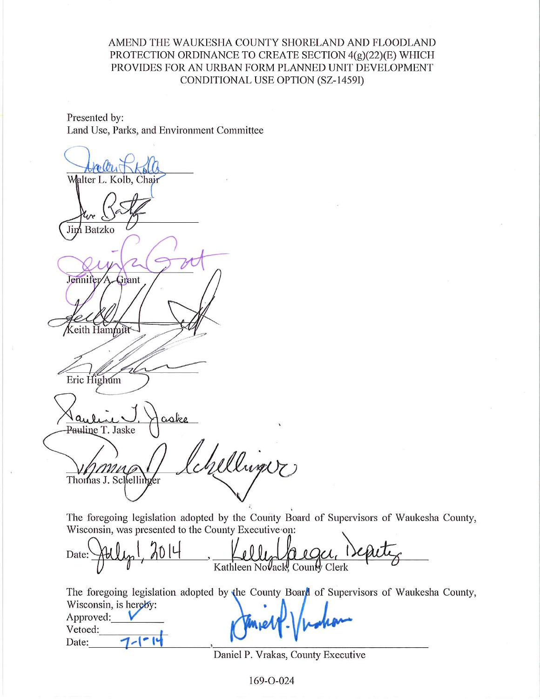# AMEND THE WAUKESHA COUNTY SHORELAND AND FLOODLAND PROTECTION ORDINANCE TO CREATE SECTION 4(g)(22)(E) WHICH PROVIDES FOR AN URBAN FORM PLANNED UNIT DEVELOPMENT CONDITIONAL USE OPTION (SZ-1459I)

Presented by: Land Use, Parks, and Environment Committee

Walter L. Kolb, Chair Jim Batzko Jennifer Grant eith Hammitt Eric Highum aske Pauline T. Jaske Willinger Thomas J. Schellinger

The foregoing legislation adopted by the County Board of Supervisors of Waukesha County, Wisconsin, was presented to the County Executive on:

Date: Kathleen NoVack, County Clerk

The foregoing legislation adopted by the County Board of Supervisors of Waukesha County, Wisconsin, is hereby: Approved:

Vetoed: Date:

Daniel P. Vrakas, County Executive

169-O-024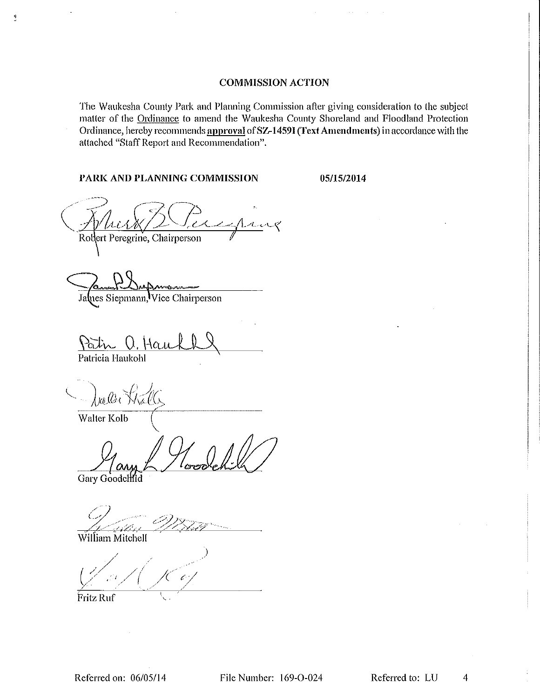#### **COMMISSION ACTION**

The Waukesha County Park and Planning Commission after giving consideration to the subject matter of the Ordinance to amend the Waukesha County Shoreland and Floodland Protection Ordinance, hereby recommends approval of SZ-1459I (Text Amendments) in accordance with the attached "Staff Report and Recommendation".

#### PARK AND PLANNING COMMISSION

05/15/2014

Lung Robert Peregrine, Chairperson

James Siepmann, Vice Chairperson

V. Ham

Patricia Haukohl

 $\mathbf{q}$ 

 $\int \mathcal{U} \, d\mathcal{U}$ 

Walter Kolb

Gary Goodehild

William Mitchell

Fritz Ruf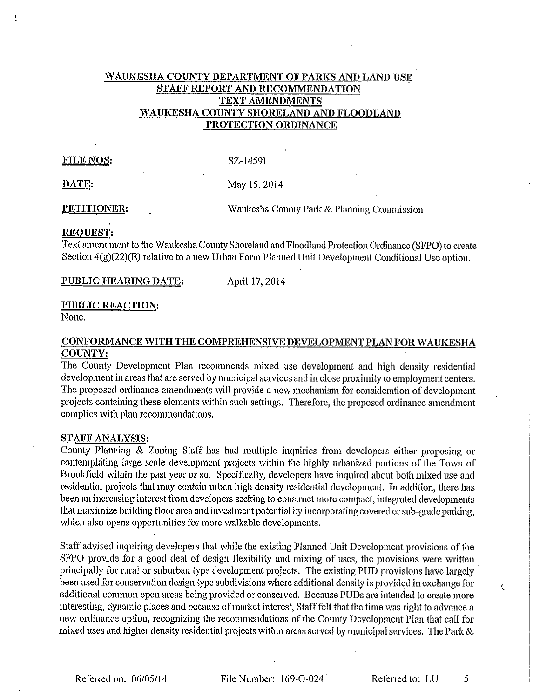# WAUKESHA COUNTY DEPARTMENT OF PARKS AND LAND USE STAFF REPORT AND RECOMMENDATION TEXT AMENDMENTS WAUKESHA COUNTY SHORELAND AND FLOODLAND PROTECTION ORDINANCE

## **FILE NOS:**

SZ-1459I

DATE:

May 15, 2014

PETITIONER:

Waukesha County Park & Planning Commission

## REOUEST.

Text amendment to the Waukesha County Shoreland and Floodland Protection Ordinance (SFPO) to create Section  $4(g)(22)(E)$  relative to a new Urban Form Planned Unit Development Conditional Use option.

PUBLIC HEARING DATE:

April 17, 2014

## **PUBLIC REACTION:**

None.

# CONFORMANCE WITH THE COMPREHENSIVE DEVELOPMENT PLAN FOR WAUKESHA **COUNTY:**

The County Development Plan recommends mixed use development and high density residential development in areas that are served by municipal services and in close proximity to employment centers. The proposed ordinance amendments will provide a new mechanism for consideration of development projects containing these elements within such settings. Therefore, the proposed ordinance amendment complies with plan recommendations.

#### **STAFF ANALYSIS:**

County Planning & Zoning Staff has had multiple inquiries from developers either proposing or contemplating large scale development projects within the highly urbanized portions of the Town of Brookfield within the past year or so. Specifically, developers have inquired about both mixed use and residential projects that may contain urban high density residential development. In addition, there has been an increasing interest from developers seeking to construct more compact, integrated developments that maximize building floor area and investment potential by incorporating covered or sub-grade parking, which also opens opportunities for more walkable developments.

Staff advised inquiring developers that while the existing Planned Unit Development provisions of the SFPO provide for a good deal of design flexibility and mixing of uses, the provisions were written principally for rural or suburban type development projects. The existing PUD provisions have largely been used for conservation design type subdivisions where additional density is provided in exchange for additional common open areas being provided or conserved. Because PUDs are intended to create more interesting, dynamic places and because of market interest. Staff felt that the time was right to advance a new ordinance option, recognizing the recommendations of the County Development Plan that call for mixed uses and higher density residential projects within areas served by municipal services. The Park &

Referred to: LU

5

 $\zeta_t$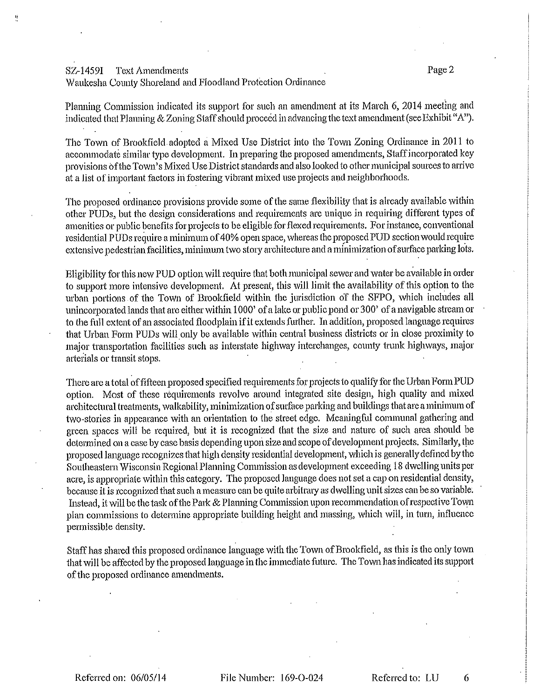#### SZ-1459I **Text Amendments**

# Waukesha County Shoreland and Floodland Protection Ordinance

Planning Commission indicated its support for such an amendment at its March 6, 2014 meeting and indicated that Planning & Zoning Staff should proceed in advancing the text amendment (see Exhibit "A").

The Town of Brookfield adopted a Mixed Use District into the Town Zoning Ordinance in 2011 to accommodate similar type development. In preparing the proposed amendments, Staff incorporated key provisions of the Town's Mixed Use District standards and also looked to other municipal sources to arrive at a list of important factors in fostering vibrant mixed use projects and neighborhoods.

The proposed ordinance provisions provide some of the same flexibility that is already available within other PUDs, but the design considerations and requirements are unique in requiring different types of amenities or public benefits for projects to be eligible for flexed requirements. For instance, conventional residential PUDs require a minimum of 40% open space, whereas the proposed PUD section would require extensive pedestrian facilities, minimum two story architecture and a minimization of surface parking lots.

Eligibility for this new PUD option will require that both municipal sewer and water be available in order to support more intensive development. At present, this will limit the availability of this option to the urban portions of the Town of Brookfield within the jurisdiction of the SFPO, which includes all unincorporated lands that are either within 1000' of a lake or public pond or 300' of a navigable stream or to the full extent of an associated floodplain if it extends further. In addition, proposed language requires that Urban Form PUDs will only be available within central business districts or in close proximity to major transportation facilities such as interstate highway interchanges, county trunk highways, major arterials or transit stops.

There are a total of fifteen proposed specified requirements for projects to qualify for the Urban Form PUD option. Most of these requirements revolve around integrated site design, high quality and mixed architectural treatments, walkability, minimization of surface parking and buildings that are a minimum of two-stories in appearance with an orientation to the street edge. Meaningful communal gathering and green spaces will be required, but it is recognized that the size and nature of such area should be determined on a case by case basis depending upon size and scope of development projects. Similarly, the proposed language recognizes that high density residential development, which is generally defined by the Southeastern Wisconsin Regional Planning Commission as development exceeding 18 dwelling units per acre, is appropriate within this category. The proposed language does not set a cap on residential density, because it is recognized that such a measure can be quite arbitrary as dwelling unit sizes can be so variable. Instead, it will be the task of the Park & Planning Commission upon recommendation of respective Town plan commissions to determine appropriate building height and massing, which will, in turn, influence permissible density.

Staff has shared this proposed ordinance language with the Town of Brookfield, as this is the only town that will be affected by the proposed language in the immediate future. The Town has indicated its support of the proposed ordinance amendments.

File Number: 169-O-024

Referred to: LU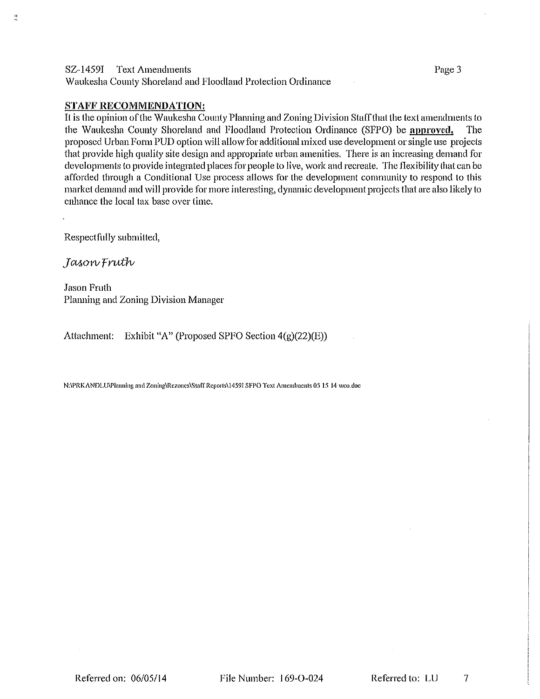## SZ-1459I Text Amendments

Waukesha County Shoreland and Floodland Protection Ordinance

## **STAFF RECOMMENDATION:**

It is the opinion of the Waukesha County Planning and Zoning Division Staff that the text amendments to the Waukesha County Shoreland and Floodland Protection Ordinance (SFPO) be approved. The proposed Urban Form PUD option will allow for additional mixed use development or single use projects that provide high quality site design and appropriate urban amenities. There is an increasing demand for developments to provide integrated places for people to live, work and recreate. The flexibility that can be afforded through a Conditional Use process allows for the development community to respond to this market demand and will provide for more interesting, dynamic development projects that are also likely to enhance the local tax base over time.

Respectfully submitted,

Jason Fruth

**Jason Fruth** Planning and Zoning Division Manager

Attachment: Exhibit "A" (Proposed SPFO Section  $4(g)(22)(E)$ )

N:\PRKANDLU\Planning and Zoning\Rezones\Staff Reports\14591 SFPO Text Amendments 05 15 14 weo.doc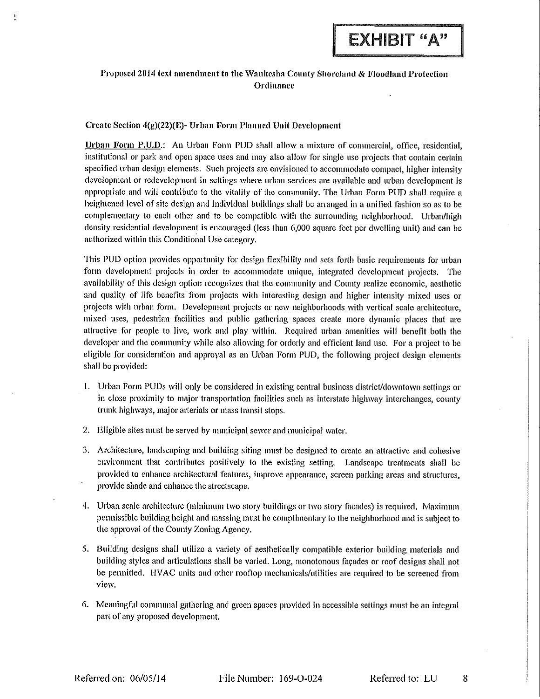# Proposed 2014 text amendment to the Waukesha County Shoreland & Floodland Protection Ordinance

#### Create Section 4(g)(22)(E)- Urban Form Planned Unit Development

Urban Form P.U.D.: An Urban Form PUD shall allow a mixture of commercial, office, residential, institutional or park and open space uses and may also allow for single use projects that contain certain specified urban design elements. Such projects are envisioned to accommodate compact, higher intensity development or redevelopment in settings where urban services are available and urban development is appropriate and will contribute to the vitality of the community. The Urban Form PUD shall require a heightened level of site design and individual buildings shall be arranged in a unified fashion so as to be complementary to each other and to be compatible with the surrounding neighborhood. Urban/high density residential development is encouraged (less than 6,000 square fect per dwelling unit) and can be authorized within this Conditional Use category.

This PUD option provides opportunity for design flexibility and sets forth basic requirements for urban form development projects in order to accommodate unique, integrated development projects. The availability of this design option recognizes that the community and County realize economic, aesthetic and quality of life benefits from projects with interesting design and higher intensity mixed uses or projects with urban form. Development projects or new neighborhoods with vertical scale architecture. mixed uses, pedestrian facilities and public gathering spaces create more dynamic places that are attractive for people to live, work and play within. Required urban amenities will benefit both the developer and the community while also allowing for orderly and efficient land use. For a project to be eligible for consideration and approval as an Urban Form PUD, the following project design elements shall be provided:

- 1. Urban Form PUDs will only be considered in existing central business district/downtown settings or in close proximity to major transportation facilities such as interstate highway interchanges, county trunk highways, major arterials or mass transit stops.
- 2. Eligible sites must be served by municipal sewer and municipal water.
- 3. Architecture, landscaping and building siting must be designed to create an attractive and cohesive environment that contributes positively to the existing setting. Landscape treatments shall be provided to enhance architectural features, improve appearance, screen parking areas and structures, provide shade and enhance the streetscape.
- 4. Urban scale architecture (minimum two story buildings or two story facades) is required. Maximum permissible building height and massing must be complimentary to the neighborhood and is subject to the approval of the County Zoning Agency.
- 5. Building designs shall utilize a variety of aesthetically compatible exterior building materials and building styles and articulations shall be varied. Long, monotonous façades or roof designs shall not be permitted. HVAC units and other rooftop mechanicals/utilities are required to be screened from view.
- 6. Meaningful communal gathering and green spaces provided in accessible settings must be an integral part of any proposed development.

Referred to: LU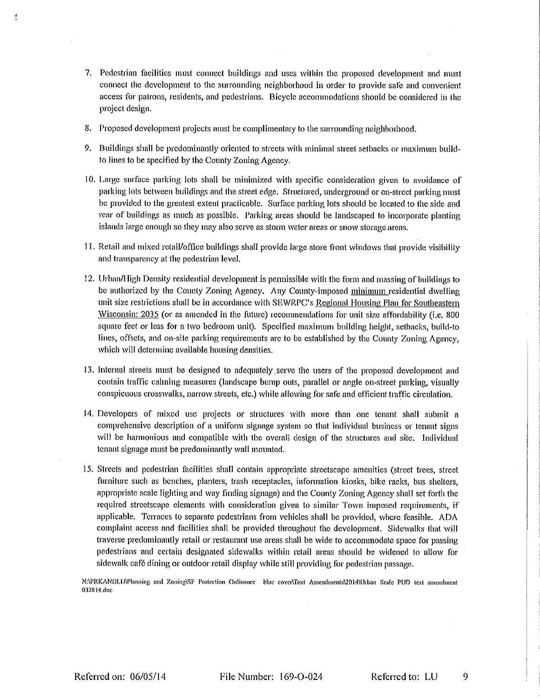- 7. Pedestrian facilities must connect buildings and uses within the proposed development and must connect the development to the surrounding neighborhood in order to provide safe and convenient access for patrons, residents, and pedestrians. Bicycle accommodations should be considered in the project design.
- 8. Proposed development projects must be complimentary to the surrounding neighborhood.
- 9. Buildings shall be predominantly oriented to streets with minimal street setbacks or maximum buildto lines to be specified by the County Zoning Agency.
- 10. Large surface parking lots shall be minimized with specific consideration given to avoidance of parking lots between buildings and the street edge. Structured, underground or on-street parking must be provided to the greatest extent practicable. Surface parking lots should be located to the side and rear of buildings as much as possible. Parking areas should be landscaped to incorporate planting islands large enough so they may also serve as storm water areas or snow storage areas.
- 11. Retail and mixed retail/office buildings shall provide large store front windows that provide visibility and transparency at the pedestrian level.
- 12. Urban/High Density residential development is permissible with the form and massing of buildings to be authorized by the County Zoning Agency. Any County-imposed minimum residential dwelling unit size restrictions shall be in accordance with SEWRPC's Regional Housing Plan for Southeastern Wisconsin: 2035 (or as amended in the future) recommendations for unit size affordability (i.e. 800 square feet or less for a two bedroom unit). Specified maximum building height, setbacks, build-to lines, offsets, and on-site parking requirements are to be established by the County Zoning Agency, which will determine available housing densities.
- 13. Internal streets must be designed to adequately serve the users of the proposed development and contain traffic calming measures (landscape bump outs, parallel or angle on-street parking, visually conspicuous crosswalks, narrow streets, etc.) while allowing for safe and efficient traffic circulation.
- 14. Developers of mixed use projects or structures with more than one tenant shall submit a comprehensive description of a uniform signage system so that individual business or tenant signs will be harmonious and compatible with the overall design of the structures and site. Individual tenant signage must be predominantly wall mounted.
- 15. Streets and pedestrian facilities shall contain appropriate streetscape amenities (street trees, street furniture such as benches, planters, trash receptacles, information kiosks, bike racks, bus shelters, appropriate scale lighting and way finding signage) and the County Zoning Agency shall set forth the required streetscape elements with consideration given to similar Town imposed requirements, if applicable. Terraces to separate pedestrians from vehicles shall be provided, where feasible. ADA complaint access and facilities shall be provided throughout the development. Sidewalks that will traverse predominantly retail or restaurant use areas shall be wide to accommodate space for passing pedestrians and certain designated sidewalks within retail areas should be widened to allow for sidewalk café dining or outdoor retail display while still providing for pedestrian passage.

N:\PRKANDLU\Planning and Zoning\SF Protection Ordinance blue cover\Text Amendments\2014\Urban Scale PUD text amendment 032814.doc